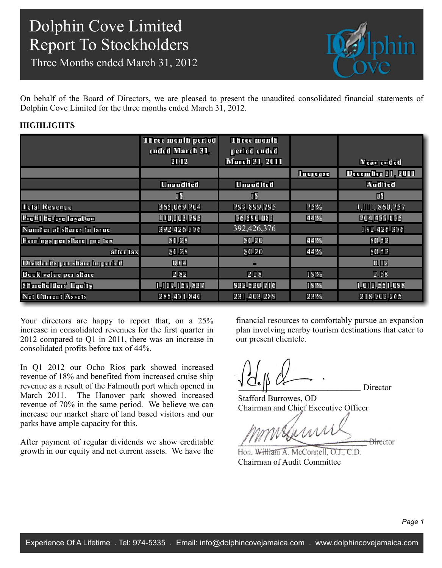Three Months ended March 31, 2012



On behalf of the Board of Directors, we are pleased to present the unaudited consolidated financial statements of Dolphin Cove Limited for the three months ended March 31, 2012.

### **HIGHLIGHTS**

|                               | Three month period<br>ended March 31, | <b>Three month</b><br>period ended |                 |                          |
|-------------------------------|---------------------------------------|------------------------------------|-----------------|--------------------------|
|                               | 2012                                  | <b>March 31, 2011</b>              |                 | <b>Year ended</b>        |
|                               |                                       |                                    | <b>Increase</b> | <b>December 31, 2011</b> |
|                               | <b>Unaudited</b>                      | <b>Unaudited</b>                   |                 | <b>Audited</b>           |
|                               | J\$                                   | J\$                                |                 | J\$                      |
| <b>Total Revenue</b>          | 365,069,204                           | 292,899,795                        | 25%             | 1,111,860,257            |
| Profit before taxation        | 110,303,795                           | 76,590,083                         | 44%             | 204,477,075              |
| Number of shares in issue     | 392,426,376                           | 392,426,376                        |                 | 392,426,376              |
| Earnings per share: pre tax   | \$0.28                                | \$0.20                             | 44%             | \$0.52                   |
| $\frac{1}{2}$ after tax       | \$0.28                                | \$0.20                             | 44%             | \$0.52                   |
| Dividends per share in period | 0.04                                  |                                    |                 | 0.12                     |
| Book value per share          | 2.82                                  | 2.38                               | 19%             | 2.58                     |
| Shareholders' Equity          | 1,107,157,837                         | 932,530,716                        | 19%             | 1,012,551,098            |
| Net Current Assets            | 285,471,840                           | 231,403,289                        | 23%             | 218,702,265              |

Your directors are happy to report that, on a 25% increase in consolidated revenues for the first quarter in 2012 compared to Q1 in 2011, there was an increase in consolidated profits before tax of 44%.

In Q1 2012 our Ocho Rios park showed increased revenue of 18% and benefited from increased cruise ship revenue as a result of the Falmouth port which opened in March 2011. The Hanover park showed increased revenue of 70% in the same period. We believe we can increase our market share of land based visitors and our parks have ample capacity for this.

After payment of regular dividends we show creditable growth in our equity and net current assets. We have the financial resources to comfortably pursue an expansion plan involving nearby tourism destinations that cater to our present clientele.

Director

Stafford Burrowes, OD Chairman and Chief Executive Officer

Weshirr **Director** 

Hon. William A. McConnell, O.J., C.D. Chairman of Audit Committee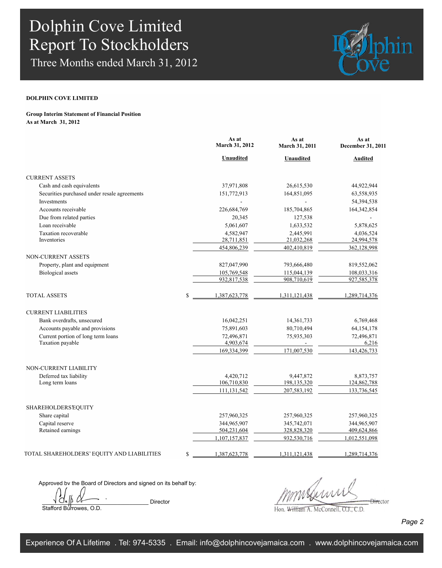Three Months ended March 31, 2012



### **DOLPHIN COVE LIMITED**

#### **Group Interim Statement of Financial Position As at March 31, 2012**

|                                              | As at<br><b>March 31, 2012</b> | As at<br>March 31, 2011 | As at<br>December 31, 2011 |
|----------------------------------------------|--------------------------------|-------------------------|----------------------------|
|                                              | <b>Unaudited</b>               | Unaudited               | <b>Audited</b>             |
| <b>CURRENT ASSETS</b>                        |                                |                         |                            |
| Cash and cash equivalents                    | 37,971,808                     | 26,615,530              | 44,922,944                 |
| Securities purchased under resale agreements | 151,772,913                    | 164,851,095             | 63,558,935                 |
| Investments                                  |                                | $\mathbf{r}$            | 54,394,538                 |
| Accounts receivable                          | 226,684,769                    | 185,704,865             | 164,342,854                |
| Due from related parties                     | 20,345                         | 127,538                 |                            |
| Loan receivable                              | 5,061,607                      | 1,633,532               | 5,878,625                  |
| Taxation recoverable                         | 4,582,947                      | 2,445,991               | 4,036,524                  |
| Inventories                                  | 28,711,851                     | 21,032,268              | 24,994,578                 |
|                                              | 454,806,239                    | 402,410,819             | 362,128,998                |
| <b>NON-CURRENT ASSETS</b>                    |                                |                         |                            |
| Property, plant and equipment                | 827,047,990                    | 793,666,480             | 819,552,062                |
| <b>Biological</b> assets                     | 105,769,548                    | 115,044,139             | 108,033,316                |
|                                              | 932,817,538                    | 908,710,619             | 927,585,378                |
| <b>TOTAL ASSETS</b>                          | \$<br>1,387,623,778            | 1,311,121,438           | 1,289,714,376              |
| <b>CURRENT LIABILITIES</b>                   |                                |                         |                            |
| Bank overdrafts, unsecured                   | 16,042,251                     | 14, 361, 733            | 6,769,468                  |
| Accounts payable and provisions              | 75,891,603                     | 80,710,494              | 64, 154, 178               |
| Current portion of long term loans           | 72,496,871                     | 75,935,303              | 72,496,871                 |
| Taxation payable                             | 4,903,674                      | $\blacksquare$          | 6,216                      |
|                                              | 169,334,399                    | 171,007,530             | 143,426,733                |
| NON-CURRENT LIABILITY                        |                                |                         |                            |
| Deferred tax liability                       | 4,420,712                      | 9,447,872               | 8,873,757                  |
| Long term loans                              | 106,710,830                    | 198,135,320             | 124,862,788                |
|                                              | 111,131,542                    | 207,583,192             | 133,736,545                |
| SHAREHOLDERS EQUITY                          |                                |                         |                            |
| Share capital                                | 257,960,325                    | 257,960,325             | 257,960,325                |
| Capital reserve                              | 344,965,907                    | 345,742,071             | 344,965,907                |
| Retained earnings                            | 504,231,604                    | 328,828,320             | 409,624,866                |
|                                              | 1,107,157,837                  | 932,530,716             | 1,012,551,098              |
| TOTAL SHAREHOLDERS' EQUITY AND LIABILITIES   | \$<br>1,387,623,778            | 1,311,121,438           | 1,289,714,376              |
|                                              |                                |                         |                            |

Approved by the Board of Directors and signed on its behalf by:

Director Stafford Burrowes, O.D.

 $\frac{1}{2}$ 

Hon. William A. McConnell, O.J., C.D.

*Page 2*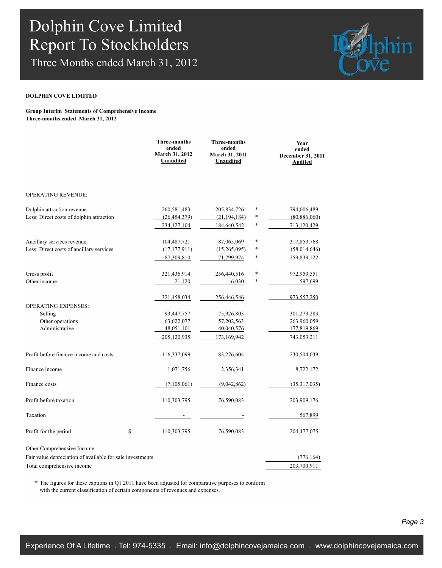Three Months ended March 31, 2012



#### **DOLPHIN COVE LIMITED**

#### **Group Interim Statements of Comprehensive Income Three-months ended March 31, 2012**

|                                                           | <b>Three-months</b><br>ended<br>March 31, 2012<br><b>Unaudited</b> | <b>Three-months</b><br>ended<br><b>March 31, 2011</b><br><b>Unaudited</b> |        | Year<br>ended<br>December 31, 2011<br><b>Audited</b> |
|-----------------------------------------------------------|--------------------------------------------------------------------|---------------------------------------------------------------------------|--------|------------------------------------------------------|
| <b>OPERATING REVENUE:</b>                                 |                                                                    |                                                                           |        |                                                      |
|                                                           |                                                                    |                                                                           |        |                                                      |
| Dolphin attraction revenue                                | 260,581,483                                                        | 205,834,726                                                               | $\ast$ | 794,006,489                                          |
| Less: Direct costs of dolphin attraction                  | (26, 454, 379)                                                     | (21, 194, 184)                                                            | $\ast$ | (80, 886, 060)                                       |
|                                                           | 234, 127, 104                                                      | 184,640,542                                                               | $\ast$ | 713,120,429                                          |
| Ancillary services revenue                                | 104,487,721                                                        | 87,065,069                                                                | $\ast$ | 317,853,768                                          |
| Less: Direct costs of ancillary services                  | (17, 177, 911)                                                     | (15,265,095)                                                              | $\ast$ | (58,014,646)                                         |
|                                                           | 87,309,810                                                         | 71,799,974                                                                | *      | 259.839.122                                          |
| Gross profit                                              | 321,436,914                                                        | 256,440,516                                                               | $\ast$ | 972,959,551                                          |
| Other income                                              | 21,120                                                             | 6,030                                                                     | $\ast$ | 597,699                                              |
|                                                           | 321,458,034                                                        | 256,446,546                                                               |        | 973,557,250                                          |
| <b>OPERATING EXPENSES:</b>                                |                                                                    |                                                                           |        |                                                      |
| Selling                                                   | 93,447,757                                                         | 75,926,803                                                                |        | 301,273,283                                          |
| Other operations                                          | 63,622,077                                                         | 57,202,563                                                                |        | 263,960,059                                          |
| Administrative                                            | 48,051,101                                                         | 40,040,576                                                                |        | 177,819,869                                          |
|                                                           | 205, 120, 935                                                      | 173,169,942                                                               |        | 743,053,211                                          |
| Profit before finance income and costs                    | 116,337,099                                                        | 83,276,604                                                                |        | 230,504,039                                          |
| Finance income                                            | 1,071,756                                                          | 2,356,341                                                                 |        | 8,722,172                                            |
| Finance costs                                             | (7,105,061)                                                        | (9,042,862)                                                               |        | (35,317,035)                                         |
| Profit before taxation                                    | 110,303,795                                                        | 76,590,083                                                                |        | 203,909,176                                          |
| Taxation                                                  |                                                                    |                                                                           |        | 567,899                                              |
| Profit for the period                                     | \$<br>110,303,795                                                  | 76,590,083                                                                |        | 204, 477, 075                                        |
| Other Comprehensive Income                                |                                                                    |                                                                           |        |                                                      |
| Fair value depreciation of available for sale investments |                                                                    |                                                                           |        | (776, 164)                                           |
| Total comprehensive income                                |                                                                    |                                                                           |        | 203,700,911                                          |

\* The figures for these captions in Q1 2011 have been adjusted for comparative purposes to conform with the current classification of certain components of revenues and expenses.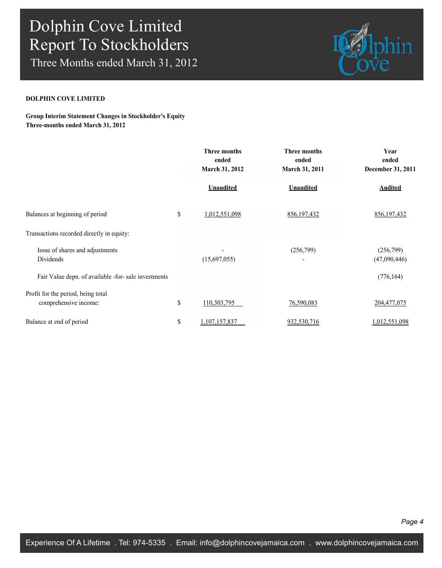Three Months ended March 31, 2012



### **DOLPHIN COVE LIMITED**

**Group Interim Statement Changes in Stockholder's Equity Three-months ended March 31, 2012**

|                                                             | <b>Three months</b><br>ended<br>March 31, 2012 | <b>Three months</b><br>ended<br>March 31, 2011 | Year<br>ended<br>December 31, 2011 |
|-------------------------------------------------------------|------------------------------------------------|------------------------------------------------|------------------------------------|
|                                                             | <b>Unaudited</b>                               | <b>Unaudited</b>                               | <b>Audited</b>                     |
| Balances at beginning of period                             | \$<br>1,012,551,098                            | 856, 197, 432                                  | 856, 197, 432                      |
| Transactions recorded directly in equity:                   |                                                |                                                |                                    |
| Issue of shares and adjustments<br>Dividends                | (15,697,055)                                   | (256,799)                                      | (256,799)<br>(47,090,446)          |
| Fair Value depn. of available -for- sale investments        |                                                |                                                | (776, 164)                         |
| Profit for the period, being total<br>comprehensive income: | \$<br>110,303,795                              | 76,590,083                                     | 204,477,075                        |
| Balance at end of period                                    | \$<br>1,107,157,837                            | 932,530,716                                    | 1,012,551,098                      |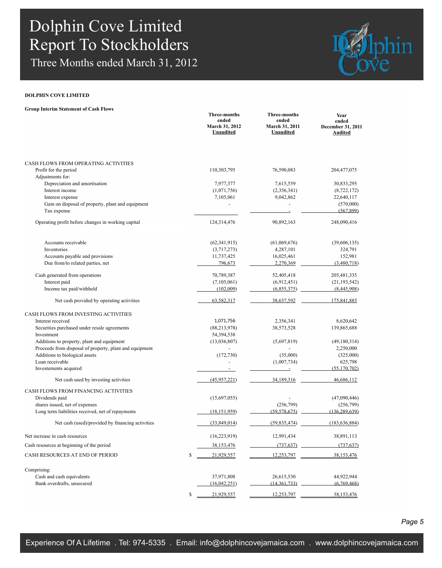Three Months ended March 31, 2012



### **DOLPHIN COVE LIMITED**

|  |  | <b>Group Interim Statement of Cash Flows</b> |  |  |
|--|--|----------------------------------------------|--|--|
|--|--|----------------------------------------------|--|--|

|                                                         | Three-months<br>ended<br>March 31, 2012<br><b>Unaudited</b> | Three-months<br>ended<br><b>March 31, 2011</b><br>Unaudited | Year<br>ended<br>December 31, 2011<br>Audited |
|---------------------------------------------------------|-------------------------------------------------------------|-------------------------------------------------------------|-----------------------------------------------|
| CASH FLOWS FROM OPERATING ACTIVITIES                    |                                                             |                                                             |                                               |
| Profit for the period                                   | 110,303,795                                                 | 76,590,083                                                  | 204,477,075                                   |
| Adjustments for:                                        |                                                             |                                                             |                                               |
| Depreciation and amortisation                           | 7,977,377                                                   | 7,615,559                                                   | 30,833,295                                    |
| Interest income                                         | (1,071,756)                                                 | (2,356,341)                                                 | (8, 722, 172)                                 |
| Interest expense                                        | 7,105,061                                                   | 9,042,862                                                   | 22,640,117                                    |
| Gain on disposal of property, plant and equipment       |                                                             |                                                             | (570,000)                                     |
| Tax expense                                             |                                                             |                                                             | (567, 899)                                    |
| Operating profit before changes in working capital      | 124,314,476                                                 | 90,892,163                                                  | 248,090,416                                   |
| Accounts receivable                                     | (62, 341, 915)                                              | (61,069,676)                                                | (39,606,135)                                  |
| Inventories                                             | (3,717,273)                                                 | 4,287,101                                                   | 324,791                                       |
| Accounts payable and provisions                         | 11,737,425                                                  | 16,025,461                                                  | 152,981                                       |
| Due from/to related parties, net                        | 796,673                                                     | 2,270,369                                                   | (3,480,718)                                   |
| Cash generated from operations                          | 70,789,387                                                  | 52,405,418                                                  | 205,481,335                                   |
| Interest paid                                           | (7,105,061)                                                 | (6,912,451)                                                 | (21, 193, 542)                                |
| Income tax paid/withheld                                | (102,009)                                                   | (6,855,375)                                                 | (8,445,908)                                   |
| Net cash provided by operating activities               | 63.582.317                                                  | 38.637.592                                                  | 175.841.885                                   |
| CASH FLOWS FROM INVESTING ACTIVITIES                    |                                                             |                                                             |                                               |
| Interest received                                       | 1,071,756                                                   | 2,356,341                                                   | 8,620,642                                     |
| Securities purchased under resale agreements            | (88, 213, 978)                                              | 38,573,528                                                  | 139,865,688                                   |
| Investment                                              | 54,394,538                                                  |                                                             |                                               |
| Additions to property, plant and equipment              | (13,036,807)                                                | (5,697,819)                                                 | (49,180,314)                                  |
| Proceeds from disposal of property, plant and equipment |                                                             |                                                             | 2,250,000                                     |
| Additions to biological assets                          | (172, 730)                                                  | (35,000)                                                    | (325,000)                                     |
| Loan receivable                                         |                                                             | (1,007,734)                                                 | 625,798                                       |
| Investements acquired                                   |                                                             |                                                             | (55, 170, 702)                                |
| Net cash used by investing activities                   | (45,957,221)                                                | 34,189,316                                                  | 46,686,112                                    |
| CASH FLOWS FROM FINANCING ACTIVITIES                    |                                                             |                                                             |                                               |
| Dividends paid                                          | (15,697,055)                                                |                                                             | (47,090,446)                                  |
| shares issued, net of expenses                          |                                                             | (256,799)                                                   | (256,799)                                     |
| Long term liabilities received, net of repayments       | (18, 151, 959)                                              | (59.578.675)                                                | (136, 289, 639)                               |
| Net cash (used)/provided by financing activities        | (33,849,014)                                                | (59, 835, 474)                                              | (183, 636, 884)                               |
| Net increase in cash resources                          | (16, 223, 919)                                              | 12,991,434                                                  | 38,891,113                                    |
| Cash resources at beginning of the period               | 38,153,476                                                  | (737, 637)                                                  | (737, 637)                                    |
| CASH RESOURCES AT END OF PERIOD                         | \$<br>21,929,557                                            | 12,253,797                                                  | 38, 153, 476                                  |
| Comprising:                                             |                                                             |                                                             |                                               |
| Cash and cash equivalents                               | 37,971,808                                                  | 26,615,530                                                  | 44,922,944                                    |
| Bank overdrafts, unsecured                              | (16,042,251)                                                | (14, 361, 733)                                              | (6,769,468)                                   |
|                                                         | 21,929,557<br>\$                                            | 12,253,797                                                  | 38, 153, 476                                  |

*Page 5*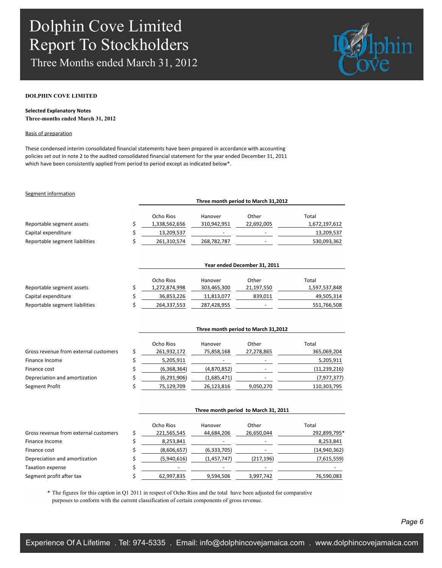Three Months ended March 31, 2012



#### **DOLPHIN COVE LIMITED**

#### **Selected Explanatory Notes Three-months ended March 31, 2012**

#### Basis of preparation

These condensed interim consolidated financial statements have been prepared in accordance with accounting policies set out in note 2 to the audited consolidated financial statement for the year ended December 31, 2011 which have been consistently applied from period to period except as indicated below\*.

#### Segment information

|                                | Three month period to March 31,2012 |                          |                          |               |  |  |
|--------------------------------|-------------------------------------|--------------------------|--------------------------|---------------|--|--|
|                                | Ocho Rios                           | Hanover                  | Other                    | Total         |  |  |
| Reportable segment assets      | 1,338,562,656                       | 310,942,951              | 22,692,005               | 1,672,197,612 |  |  |
| Capital expenditure            | 13,209,537                          | $\overline{\phantom{0}}$ | $\overline{\phantom{0}}$ | 13,209,537    |  |  |
| Reportable segment liabilities | 261,310,574                         | 268,782,787              | $\overline{\phantom{0}}$ | 530,093,362   |  |  |

|                                | Year ended December 31, 2011 |             |                          |               |  |
|--------------------------------|------------------------------|-------------|--------------------------|---------------|--|
|                                | Ocho Rios                    | Hanover     | Other                    | Total         |  |
| Reportable segment assets      | 1,272,874,998                | 303,465,300 | 21,197,550               | 1,597,537,848 |  |
| Capital expenditure            | 36,853,226                   | 11,813,077  | 839,011                  | 49,505,314    |  |
| Reportable segment liabilities | 264,337,553                  | 287,428,955 | $\overline{\phantom{0}}$ | 551,766,508   |  |

|                                       | Ocho Rios   | Hanover     | Other                    | Total          |
|---------------------------------------|-------------|-------------|--------------------------|----------------|
| Gross revenue from external customers | 261,932,172 | 75,858,168  | 27,278,865               | 365,069,204    |
| Finance Income                        | 5,205,911   | ٠           | $\overline{\phantom{a}}$ | 5,205,911      |
| Finance cost                          | (6,368,364) | (4,870,852) | $\overline{\phantom{a}}$ | (11, 239, 216) |
| Depreciation and amortization         | (6,291,906) | (1,685,471) |                          | (7, 977, 377)  |
| Segment Profit                        | 75,129,709  | 26,123,816  | 9,050,270                | 110,303,795    |

|                                       | Three month period to March 31, 2011 |               |            |              |  |
|---------------------------------------|--------------------------------------|---------------|------------|--------------|--|
|                                       | Ocho Rios                            | Hanover       | Other      | Total        |  |
| Gross revenue from external customers | 221,565,545                          | 44,684,206    | 26,650,044 | 292,899,795* |  |
| Finance Income                        | 8,253,841                            |               |            | 8,253,841    |  |
| Finance cost                          | (8,606,657)                          | (6, 333, 705) |            | (14,940,362) |  |
| Depreciation and amortization         | (5,940,616)                          | (1,457,747)   | (217, 196) | (7,615,559)  |  |
| Taxation expense                      |                                      |               |            |              |  |
| Segment profit after tax              | 62,997,835                           | 9,594,506     | 3,997,742  | 76,590,083   |  |

\* The figures for this caption in Q1 2011 in respect of Ocho Rios and the total have been adjusted for comparative purposes to conform with the current classification of certain components of gross revenue.

**Three month period to March 31,2012**